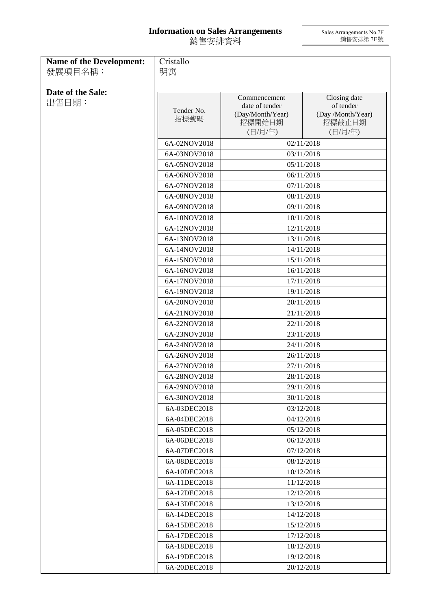## **Information on Sales Arrangements** 銷售安排資料

Sales Arrangements No.7F 銷售安排第 7F 號

| <b>Name of the Development:</b><br>發展項目名稱: | Cristallo<br>明寓            |                                                                         |                                                                     |  |
|--------------------------------------------|----------------------------|-------------------------------------------------------------------------|---------------------------------------------------------------------|--|
| Date of the Sale:<br>出售日期:                 | Tender No.<br>招標號碼         | Commencement<br>date of tender<br>(Day/Month/Year)<br>招標開始日期<br>(日/月/年) | Closing date<br>of tender<br>(Day /Month/Year)<br>招標截止日期<br>(日/月/年) |  |
|                                            | 6A-02NOV2018               |                                                                         | 02/11/2018                                                          |  |
|                                            | 6A-03NOV2018               |                                                                         | 03/11/2018                                                          |  |
|                                            | 6A-05NOV2018               |                                                                         | 05/11/2018                                                          |  |
|                                            | 6A-06NOV2018               |                                                                         | 06/11/2018                                                          |  |
|                                            | 6A-07NOV2018               |                                                                         | 07/11/2018                                                          |  |
|                                            | 6A-08NOV2018               |                                                                         | 08/11/2018                                                          |  |
|                                            | 6A-09NOV2018               |                                                                         | 09/11/2018                                                          |  |
|                                            | 6A-10NOV2018               |                                                                         | 10/11/2018                                                          |  |
|                                            | 6A-12NOV2018               |                                                                         | 12/11/2018                                                          |  |
|                                            | 6A-13NOV2018               |                                                                         | 13/11/2018                                                          |  |
|                                            | 6A-14NOV2018               |                                                                         | 14/11/2018                                                          |  |
|                                            | 6A-15NOV2018               |                                                                         | 15/11/2018                                                          |  |
|                                            | 6A-16NOV2018               |                                                                         | 16/11/2018                                                          |  |
|                                            | 6A-17NOV2018               | 17/11/2018                                                              |                                                                     |  |
|                                            | 6A-19NOV2018<br>19/11/2018 |                                                                         |                                                                     |  |
|                                            | 6A-20NOV2018               | 20/11/2018                                                              |                                                                     |  |
|                                            | 6A-21NOV2018               | 21/11/2018                                                              |                                                                     |  |
|                                            | 6A-22NOV2018               |                                                                         | 22/11/2018                                                          |  |
|                                            | 6A-23NOV2018               | 23/11/2018<br>24/11/2018                                                |                                                                     |  |
|                                            | 6A-24NOV2018               |                                                                         |                                                                     |  |
|                                            | 6A-26NOV2018               | 26/11/2018                                                              |                                                                     |  |
|                                            | 6A-27NOV2018               | 27/11/2018                                                              |                                                                     |  |
|                                            | 6A-28NOV2018               |                                                                         | 28/11/2018                                                          |  |
|                                            | 6A-29NOV2018               |                                                                         | 29/11/2018                                                          |  |
|                                            | 6A-30NOV2018               |                                                                         | 30/11/2018                                                          |  |
|                                            | 6A-03DEC2018               |                                                                         | 03/12/2018                                                          |  |
|                                            | 6A-04DEC2018               |                                                                         | 04/12/2018                                                          |  |
|                                            | 6A-05DEC2018               |                                                                         | 05/12/2018                                                          |  |
|                                            | 6A-06DEC2018               |                                                                         | 06/12/2018                                                          |  |
|                                            | 6A-07DEC2018               |                                                                         | 07/12/2018                                                          |  |
|                                            | 6A-08DEC2018               |                                                                         | 08/12/2018                                                          |  |
|                                            | 6A-10DEC2018               | 10/12/2018                                                              |                                                                     |  |
|                                            | 6A-11DEC2018               |                                                                         | 11/12/2018                                                          |  |
|                                            | 6A-12DEC2018               |                                                                         | 12/12/2018                                                          |  |
|                                            | 6A-13DEC2018               |                                                                         | 13/12/2018                                                          |  |
|                                            | 6A-14DEC2018               |                                                                         | 14/12/2018                                                          |  |
|                                            | 6A-15DEC2018               |                                                                         | 15/12/2018                                                          |  |
|                                            | 6A-17DEC2018               |                                                                         | 17/12/2018                                                          |  |
|                                            | 6A-18DEC2018               |                                                                         | 18/12/2018                                                          |  |
|                                            | 6A-19DEC2018               |                                                                         | 19/12/2018                                                          |  |
|                                            | 6A-20DEC2018               |                                                                         | 20/12/2018                                                          |  |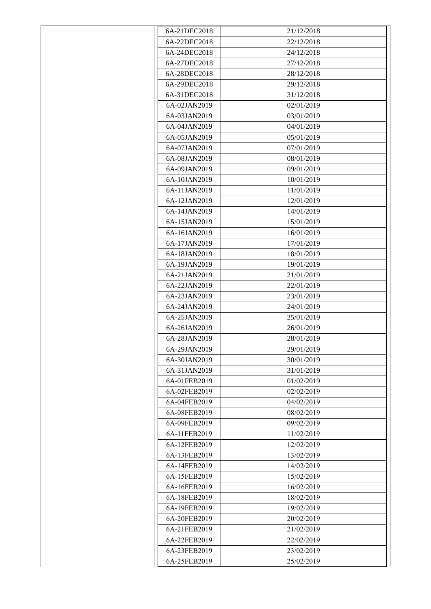| 6A-21DEC2018 | 21/12/2018 |
|--------------|------------|
| 6A-22DEC2018 | 22/12/2018 |
| 6A-24DEC2018 | 24/12/2018 |
| 6A-27DEC2018 | 27/12/2018 |
| 6A-28DEC2018 | 28/12/2018 |
| 6A-29DEC2018 | 29/12/2018 |
| 6A-31DEC2018 | 31/12/2018 |
| 6A-02JAN2019 | 02/01/2019 |
| 6A-03JAN2019 | 03/01/2019 |
| 6A-04JAN2019 | 04/01/2019 |
| 6A-05JAN2019 | 05/01/2019 |
| 6A-07JAN2019 | 07/01/2019 |
| 6A-08JAN2019 | 08/01/2019 |
| 6A-09JAN2019 | 09/01/2019 |
| 6A-10JAN2019 | 10/01/2019 |
| 6A-11JAN2019 | 11/01/2019 |
| 6A-12JAN2019 | 12/01/2019 |
| 6A-14JAN2019 | 14/01/2019 |
| 6A-15JAN2019 | 15/01/2019 |
| 6A-16JAN2019 | 16/01/2019 |
| 6A-17JAN2019 | 17/01/2019 |
| 6A-18JAN2019 | 18/01/2019 |
| 6A-19JAN2019 | 19/01/2019 |
| 6A-21JAN2019 | 21/01/2019 |
| 6A-22JAN2019 | 22/01/2019 |
| 6A-23JAN2019 | 23/01/2019 |
| 6A-24JAN2019 | 24/01/2019 |
| 6A-25JAN2019 | 25/01/2019 |
| 6A-26JAN2019 | 26/01/2019 |
| 6A-28JAN2019 | 28/01/2019 |
| 6A-29JAN2019 | 29/01/2019 |
| 6A-30JAN2019 | 30/01/2019 |
| 6A-31JAN2019 | 31/01/2019 |
| 6A-01FEB2019 | 01/02/2019 |
| 6A-02FEB2019 | 02/02/2019 |
| 6A-04FEB2019 | 04/02/2019 |
| 6A-08FEB2019 | 08/02/2019 |
| 6A-09FEB2019 | 09/02/2019 |
| 6A-11FEB2019 | 11/02/2019 |
| 6A-12FEB2019 | 12/02/2019 |
| 6A-13FEB2019 | 13/02/2019 |
| 6A-14FEB2019 | 14/02/2019 |
| 6A-15FEB2019 | 15/02/2019 |
| 6A-16FEB2019 | 16/02/2019 |
| 6A-18FEB2019 | 18/02/2019 |
| 6A-19FEB2019 | 19/02/2019 |
| 6A-20FEB2019 | 20/02/2019 |
| 6A-21FEB2019 | 21/02/2019 |
| 6A-22FEB2019 | 22/02/2019 |
| 6A-23FEB2019 | 23/02/2019 |
| 6A-25FEB2019 | 25/02/2019 |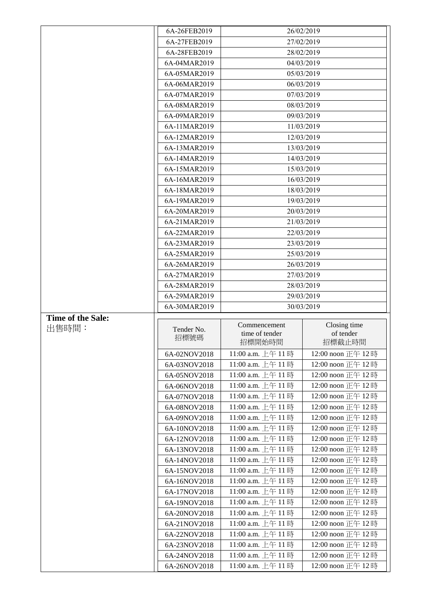|                          | 6A-26FEB2019                 |                                        | 26/02/2019                             |
|--------------------------|------------------------------|----------------------------------------|----------------------------------------|
|                          | 6A-27FEB2019                 | 27/02/2019                             |                                        |
|                          | 6A-28FEB2019                 |                                        | 28/02/2019                             |
|                          | 6A-04MAR2019                 |                                        | 04/03/2019                             |
|                          | 6A-05MAR2019                 |                                        | 05/03/2019                             |
|                          | 6A-06MAR2019                 |                                        | 06/03/2019                             |
|                          | 6A-07MAR2019                 |                                        | 07/03/2019                             |
|                          | 6A-08MAR2019                 |                                        | 08/03/2019                             |
|                          | 6A-09MAR2019                 |                                        | 09/03/2019                             |
|                          | 6A-11MAR2019                 |                                        | 11/03/2019                             |
|                          | 6A-12MAR2019                 |                                        | 12/03/2019                             |
|                          | 6A-13MAR2019                 |                                        | 13/03/2019                             |
|                          | 6A-14MAR2019                 |                                        | 14/03/2019                             |
|                          | 6A-15MAR2019                 |                                        | 15/03/2019                             |
|                          | 6A-16MAR2019                 |                                        | 16/03/2019                             |
|                          | 6A-18MAR2019                 |                                        | 18/03/2019                             |
|                          | 6A-19MAR2019                 |                                        | 19/03/2019                             |
|                          | 6A-20MAR2019                 |                                        | 20/03/2019                             |
|                          | 6A-21MAR2019                 |                                        | 21/03/2019                             |
|                          | 6A-22MAR2019                 |                                        | 22/03/2019                             |
|                          | 6A-23MAR2019                 |                                        | 23/03/2019                             |
|                          | 6A-25MAR2019                 | 25/03/2019                             |                                        |
|                          | 6A-26MAR2019                 |                                        | 26/03/2019                             |
|                          | 6A-27MAR2019                 | 27/03/2019                             |                                        |
|                          | 6A-28MAR2019                 | 28/03/2019                             |                                        |
|                          | 6A-29MAR2019                 | 29/03/2019                             |                                        |
|                          | 6A-30MAR2019                 | 30/03/2019                             |                                        |
|                          |                              |                                        |                                        |
| <b>Time of the Sale:</b> |                              |                                        |                                        |
| 出售時間:                    | Tender No.                   | Commencement                           | Closing time                           |
|                          | 招標號碼                         | time of tender<br>招標開始時間               | of tender<br>招標截止時間                    |
|                          |                              |                                        |                                        |
|                          | 6A-02NOV2018                 | 11:00 a.m. 上午 11時<br>11:00 a.m. 上午 11時 | 12:00 noon 正午 12時                      |
|                          | 6A-03NOV2018                 | 11:00 a.m. 上午 11時                      | 12:00 noon 正午 12時<br>12:00 noon 正午 12時 |
|                          | 6A-05NOV2018<br>6A-06NOV2018 | 11:00 a.m. 上午 11時                      | 12:00 noon 正午 12時                      |
|                          | 6A-07NOV2018                 | 11:00 a.m. 上午 11時                      |                                        |
|                          | 6A-08NOV2018                 | 11:00 a.m. 上午 11時                      | 12:00 noon 正午 12時<br>12:00 noon 正午 12時 |
|                          | 6A-09NOV2018                 |                                        | 12:00 noon 正午 12時                      |
|                          | 6A-10NOV2018                 | 11:00 a.m. 上午 11時<br>11:00 a.m. 上午 11時 | 12:00 noon 正午 12時                      |
|                          | 6A-12NOV2018                 | 11:00 a.m. 上午 11時                      | 12:00 noon 正午 12時                      |
|                          | 6A-13NOV2018                 | 11:00 a.m. 上午 11時                      | 12:00 noon 正午 12時                      |
|                          | 6A-14NOV2018                 | 11:00 a.m. 上午 11時                      |                                        |
|                          |                              | 11:00 a.m. 上午 11時                      | 12:00 noon 正午 12時<br>12:00 noon 正午 12時 |
|                          | 6A-15NOV2018<br>6A-16NOV2018 | 11:00 a.m. 上午 11時                      | 12:00 noon 正午 12時                      |
|                          | 6A-17NOV2018                 | 11:00 a.m. 上午 11時                      | 12:00 noon 正午 12時                      |
|                          | 6A-19NOV2018                 | 11:00 a.m. 上午 11時                      | 12:00 noon 正午 12時                      |
|                          | 6A-20NOV2018                 | 11:00 a.m. 上午 11時                      | 12:00 noon 正午 12 時                     |
|                          | 6A-21NOV2018                 | 11:00 a.m. 上午 11時                      | 12:00 noon 正午 12時                      |
|                          | 6A-22NOV2018                 | 11:00 a.m. 上午 11時                      | 12:00 noon 正午 12時                      |
|                          | 6A-23NOV2018                 | 11:00 a.m. 上午 11時                      | 12:00 noon 正午 12時                      |
|                          | 6A-24NOV2018                 | 11:00 a.m. 上午 11時                      | 12:00 noon 正午 12時                      |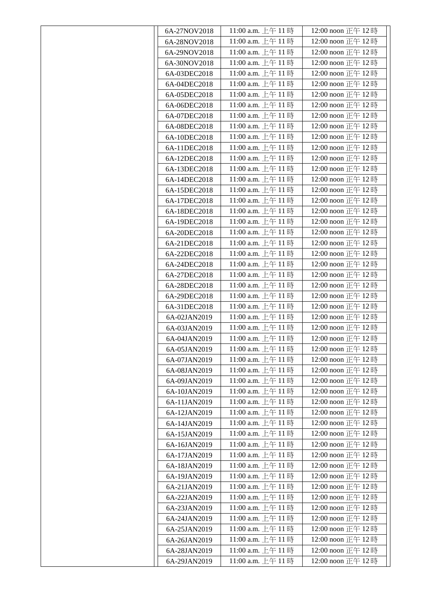| 6A-27NOV2018 | 11:00 a.m. 上午 11時  | 12:00 noon 正午 12時  |
|--------------|--------------------|--------------------|
| 6A-28NOV2018 | 11:00 a.m. 上午 11時  | 12:00 noon 正午 12時  |
| 6A-29NOV2018 | 11:00 a.m. 上午 11時  | 12:00 noon 正午 12時  |
| 6A-30NOV2018 | 11:00 a.m. 上午 11 時 | 12:00 noon 正午 12時  |
| 6A-03DEC2018 | 11:00 a.m. 上午 11時  | 12:00 noon 正午 12時  |
| 6A-04DEC2018 | 11:00 a.m. 上午 11時  | 12:00 noon 正午 12時  |
| 6A-05DEC2018 | 11:00 a.m. 上午 11 時 | 12:00 noon 正午 12時  |
| 6A-06DEC2018 | 11:00 a.m. 上午 11時  | 12:00 noon 正午 12時  |
| 6A-07DEC2018 | 11:00 a.m. 上午 11 時 | 12:00 noon 正午 12時  |
| 6A-08DEC2018 | 11:00 a.m. 上午 11 時 | 12:00 noon 正午 12時  |
| 6A-10DEC2018 | 11:00 a.m. 上午 11 時 | 12:00 noon 正午 12時  |
| 6A-11DEC2018 | 11:00 a.m. 上午 11時  | 12:00 noon 正午 12時  |
| 6A-12DEC2018 | 11:00 a.m. 上午 11 時 | 12:00 noon 正午 12時  |
| 6A-13DEC2018 | 11:00 a.m. 上午 11時  | 12:00 noon 正午 12時  |
| 6A-14DEC2018 | 11:00 a.m. 上午 11 時 | 12:00 noon 正午 12時  |
| 6A-15DEC2018 | 11:00 a.m. 上午 11 時 | 12:00 noon 正午 12時  |
| 6A-17DEC2018 | 11:00 a.m. 上午 11 時 | 12:00 noon 正午 12時  |
| 6A-18DEC2018 | 11:00 a.m. 上午 11 時 | 12:00 noon 正午 12時  |
| 6A-19DEC2018 | 11:00 a.m. 上午 11 時 | 12:00 noon 正午 12時  |
| 6A-20DEC2018 | 11:00 a.m. 上午 11 時 | 12:00 noon 正午 12時  |
| 6A-21DEC2018 | 11:00 a.m. 上午 11時  | 12:00 noon 正午 12時  |
| 6A-22DEC2018 | 11:00 a.m. 上午 11 時 | 12:00 noon 正午 12時  |
| 6A-24DEC2018 | 11:00 a.m. 上午 11時  | 12:00 noon 正午 12時  |
| 6A-27DEC2018 | 11:00 a.m. 上午 11 時 | 12:00 noon 正午 12時  |
| 6A-28DEC2018 | 11:00 a.m. 上午 11 時 | 12:00 noon 正午 12時  |
| 6A-29DEC2018 | 11:00 a.m. 上午 11時  | 12:00 noon 正午 12時  |
| 6A-31DEC2018 | 11:00 a.m. 上午 11 時 | 12:00 noon 正午 12時  |
| 6A-02JAN2019 | 11:00 a.m. 上午 11時  | 12:00 noon 正午 12時  |
| 6A-03JAN2019 | 11:00 a.m. 上午 11時  | 12:00 noon 正午 12時  |
| 6A-04JAN2019 | 11:00 a.m. 上午 11時  | 12:00 noon 正午 12時  |
| 6A-05JAN2019 | 11:00 a.m. 上午 11時  | 12:00 noon 正午 12時  |
| 6A-07JAN2019 | 11:00 a.m. 上午 11時  | 12:00 noon 正午 12時  |
| 6A-08JAN2019 | 11:00 a.m. 上午11時   | 12:00 noon 正午 12時  |
| 6A-09JAN2019 | 11:00 a.m. 上午 11時  | 12:00 noon 正午 12時  |
| 6A-10JAN2019 | 11:00 a.m. 上午 11 時 | 12:00 noon 正午 12時  |
| 6A-11JAN2019 | 11:00 a.m. 上午 11 時 | 12:00 noon 正午 12時  |
| 6A-12JAN2019 | 11:00 a.m. 上午 11時  | 12:00 noon 正午 12時  |
| 6A-14JAN2019 | 11:00 a.m. 上午 11 時 | 12:00 noon 正午 12時  |
| 6A-15JAN2019 | 11:00 a.m. 上午 11時  | 12:00 noon 正午 12時  |
| 6A-16JAN2019 | 11:00 a.m. 上午 11 時 | 12:00 noon 正午 12 時 |
| 6A-17JAN2019 | 11:00 a.m. 上午 11時  | 12:00 noon 正午 12時  |
| 6A-18JAN2019 | 11:00 a.m. 上午 11 時 | 12:00 noon 正午 12時  |
| 6A-19JAN2019 | 11:00 a.m. 上午 11時  | 12:00 noon 正午 12時  |
| 6A-21JAN2019 | 11:00 a.m. 上午 11時  | 12:00 noon 正午 12時  |
| 6A-22JAN2019 | 11:00 a.m. 上午 11時  | 12:00 noon 正午 12時  |
| 6A-23JAN2019 | 11:00 a.m. 上午 11 時 | 12:00 noon 正午 12時  |
| 6A-24JAN2019 | 11:00 a.m. 上午 11 時 | 12:00 noon 正午 12時  |
| 6A-25JAN2019 | 11:00 a.m. 上午 11時  | 12:00 noon 正午 12時  |
| 6A-26JAN2019 | 11:00 a.m. 上午 11 時 | 12:00 noon 正午 12 時 |
| 6A-28JAN2019 | 11:00 a.m. 上午 11時  | 12:00 noon 正午 12時  |
| 6A-29JAN2019 | 11:00 a.m. 上午 11時  | 12:00 noon 正午 12時  |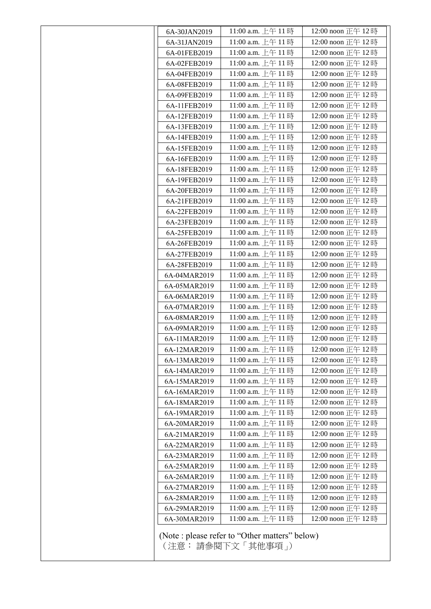|              | 11:00 a.m. 上午 11時  | 12:00 noon 正午 12 時 |
|--------------|--------------------|--------------------|
| 6A-31JAN2019 | 11:00 a.m. 上午 11時  | 12:00 noon 正午 12 時 |
| 6A-01FEB2019 | 11:00 a.m. 上午 11時  | 12:00 noon 正午 12時  |
| 6A-02FEB2019 | 11:00 a.m. 上午 11時  | 12:00 noon 正午 12時  |
| 6A-04FEB2019 | 11:00 a.m. 上午 11時  | 12:00 noon 正午 12時  |
| 6A-08FEB2019 | 11:00 a.m. 上午 11時  | 12:00 noon 正午 12時  |
| 6A-09FEB2019 | 11:00 a.m. 上午 11時  | 12:00 noon 正午 12時  |
| 6A-11FEB2019 | 11:00 a.m. 上午 11時  | 12:00 noon 正午 12時  |
| 6A-12FEB2019 | 11:00 a.m. 上午 11時  | 12:00 noon 正午 12時  |
| 6A-13FEB2019 | 11:00 a.m. 上午 11時  | 12:00 noon 正午 12 時 |
| 6A-14FEB2019 | 11:00 a.m. 上午 11時  | 12:00 noon 正午 12 時 |
| 6A-15FEB2019 | 11:00 a.m. 上午 11時  | 12:00 noon 正午 12時  |
| 6A-16FEB2019 | 11:00 a.m. 上午 11時  | 12:00 noon 正午 12時  |
| 6A-18FEB2019 | 11:00 a.m. 上午 11 時 | 12:00 noon 正午 12時  |
| 6A-19FEB2019 | 11:00 a.m. 上午 11時  | 12:00 noon 正午 12時  |
| 6A-20FEB2019 | 11:00 a.m. 上午 11時  | 12:00 noon 正午 12時  |
| 6A-21FEB2019 | 11:00 a.m. 上午 11時  | 12:00 noon 正午 12時  |
| 6A-22FEB2019 | 11:00 a.m. 上午 11時  | 12:00 noon 正午 12時  |
| 6A-23FEB2019 | 11:00 a.m. 上午 11時  | 12:00 noon 正午 12時  |
| 6A-25FEB2019 | 11:00 a.m. 上午 11時  | 12:00 noon 正午 12 時 |
| 6A-26FEB2019 | 11:00 a.m. 上午 11時  | 12:00 noon 正午 12時  |
| 6A-27FEB2019 | 11:00 a.m. 上午 11時  | 12:00 noon 正午 12時  |
| 6A-28FEB2019 | 11:00 a.m. 上午11時   | 12:00 noon 正午 12時  |
| 6A-04MAR2019 | 11:00 a.m. 上午 11時  | 12:00 noon 正午 12時  |
| 6A-05MAR2019 | 11:00 a.m. 上午 11時  | 12:00 noon 正午 12 時 |
| 6A-06MAR2019 | 11:00 a.m. 上午 11時  | 12:00 noon 正午 12時  |
| 6A-07MAR2019 | 11:00 a.m. 上午 11 時 | 12:00 noon 正午 12 時 |
| 6A-08MAR2019 | 11:00 a.m. 上午 11時  | 12:00 noon 正午 12時  |
| 6A-09MAR2019 | 11:00 a.m. 上午 11時  | 12:00 noon 正午 12 時 |
| 6A-11MAR2019 | 11:00 a.m. 上午 11時  | 12:00 noon 正午 12時  |
| 6A-12MAR2019 | 11:00 a.m. 上午 11時  | 12:00 noon 正午 12時  |
| 6A-13MAR2019 | 11:00 a.m. 上午 11時  | 12:00 noon 正午 12時  |
| 6A-14MAR2019 | 11:00 a.m. 上午 11時  | 12:00 noon 正午 12時  |
| 6A-15MAR2019 | 11:00 a.m. 上午 11時  | 12:00 noon 正午 12時  |
| 6A-16MAR2019 | 11:00 a.m. 上午11時   | 12:00 noon 正午 12時  |
| 6A-18MAR2019 | 11:00 a.m. 上午 11時  | 12:00 noon 正午 12時  |
| 6A-19MAR2019 | 11:00 a.m. 上午 11時  | 12:00 noon 正午 12時  |
| 6A-20MAR2019 | 11:00 a.m. 上午 11時  | 12:00 noon 正午 12時  |
| 6A-21MAR2019 | 11:00 a.m. 上午11時   | 12:00 noon 正午 12時  |
| 6A-22MAR2019 | 11:00 a.m. 上午 11時  | 12:00 noon 正午 12時  |
| 6A-23MAR2019 | 11:00 a.m. 上午 11時  | 12:00 noon 正午 12時  |
| 6A-25MAR2019 | 11:00 a.m. 上午 11時  | 12:00 noon 正午 12時  |
| 6A-26MAR2019 | 11:00 a.m. 上午 11時  | 12:00 noon 正午 12時  |
| 6A-27MAR2019 | 11:00 a.m. 上午 11時  | 12:00 noon 正午 12時  |
| 6A-28MAR2019 | 11:00 a.m. 上午 11時  | 12:00 noon 正午 12時  |
| 6A-29MAR2019 | 11:00 a.m. 上午 11時  | 12:00 noon 正午 12時  |
|              | 11:00 a.m. 上午 11時  | 12:00 noon 正午 12時  |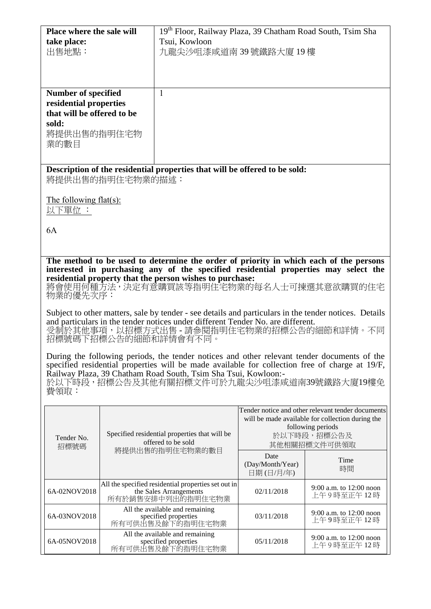| <b>Place where the sale will</b>                         | 19 <sup>th</sup> Floor, Railway Plaza, 39 Chatham Road South, Tsim Sha                |
|----------------------------------------------------------|---------------------------------------------------------------------------------------|
| take place:                                              | Tsui, Kowloon                                                                         |
| 出售地點:                                                    | 九龍尖沙咀漆咸道南39號鐵路大廈19樓                                                                   |
|                                                          |                                                                                       |
|                                                          |                                                                                       |
|                                                          |                                                                                       |
|                                                          |                                                                                       |
| <b>Number of specified</b>                               | 1                                                                                     |
| residential properties                                   |                                                                                       |
| that will be offered to be                               |                                                                                       |
| sold:                                                    |                                                                                       |
|                                                          |                                                                                       |
| 將提供出售的指明住宅物                                              |                                                                                       |
| 業的數目                                                     |                                                                                       |
|                                                          |                                                                                       |
|                                                          |                                                                                       |
|                                                          | Description of the residential properties that will be offered to be sold:            |
| 將提供出售的指明住宅物業的描述:                                         |                                                                                       |
|                                                          |                                                                                       |
| The following flat(s):                                   |                                                                                       |
| 以下單位:                                                    |                                                                                       |
|                                                          |                                                                                       |
|                                                          |                                                                                       |
| 6A                                                       |                                                                                       |
|                                                          |                                                                                       |
|                                                          |                                                                                       |
|                                                          | The method to be used to determine the order of priority in which each of the persons |
|                                                          | interested in purchasing any of the specified residential properties may select the   |
| residential property that the person wishes to purchase: |                                                                                       |
|                                                          | 收金庸用后摇个计,让夏君幸睡要笑笑把阻住安肠器的肩 <i>友</i> !工可捕渡廿辛颂睡要的住身                                      |

將會使用何種方法,決定有意購買該等指明住宅物業的每名人士可揀選其意欲購買的住宅 物業的優先次序:

Subject to other matters, sale by tender - see details and particulars in the tender notices. Details and particulars in the tender notices under different Tender No. are different. 受制於其他事項,以招標方式出售 - 請參閱指明住宅物業的招標公告的細節和詳情。不同 招標號碼下招標公告的細節和詳情會有不同。

During the following periods, the tender notices and other relevant tender documents of the specified residential properties will be made available for collection free of charge at 19/F, Railway Plaza, 39 Chatham Road South, Tsim Sha Tsui, Kowloon:- 於以下時段,招標公告及其他有關招標文件可於九龍尖沙咀漆咸道南39號鐵路大廈19樓免 費領取:

| Tender No.<br>招標號碼 | Specified residential properties that will be<br>offered to be sold<br>將提供出售的指明住宅物業的數目             | Tender notice and other relevant tender documents<br>will be made available for collection during the<br>following periods<br>於以下時段,招標公告及<br>其他相關招標文件可供領取 |                                         |
|--------------------|----------------------------------------------------------------------------------------------------|-----------------------------------------------------------------------------------------------------------------------------------------------------------|-----------------------------------------|
|                    |                                                                                                    | Date<br>(Day/Month/Year)<br>日期(日/月/年)                                                                                                                     | Time<br>時間                              |
| 6A-02NOV2018       | All the specified residential properties set out in<br>the Sales Arrangements<br>所有於銷售安排中列出的指明住宅物業 | 02/11/2018                                                                                                                                                | 9:00 a.m. to $12:00$ noon<br>上午9時至正午12時 |
| 6A-03NOV2018       | All the available and remaining<br>specified properties<br>所有可供出售及餘下的指明住宅物業                        | 03/11/2018                                                                                                                                                | $9:00$ a.m. to 12:00 noon<br>上午9時至正午12時 |
| 6A-05NOV2018       | All the available and remaining<br>specified properties<br>所有可供出售及餘下的指明住宅物業                        | 05/11/2018                                                                                                                                                | 9:00 a.m. to $12:00$ noon<br>上午9時至正午12時 |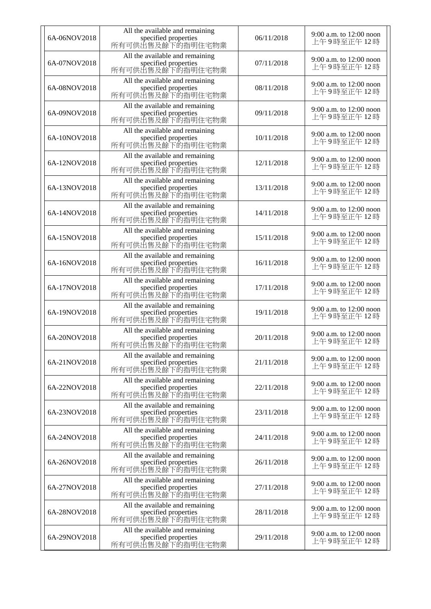| 6A-06NOV2018 | All the available and remaining<br>specified properties<br>所有可供出售及餘下的指明住宅物業 | 06/11/2018 | 9:00 a.m. to 12:00 noon<br>上午9時至正午12時   |
|--------------|-----------------------------------------------------------------------------|------------|-----------------------------------------|
| 6A-07NOV2018 | All the available and remaining<br>specified properties<br>所有可供出售及餘下的指明住宅物業 | 07/11/2018 | 9:00 a.m. to $12:00$ noon<br>上午9時至正午12時 |
| 6A-08NOV2018 | All the available and remaining<br>specified properties<br>所有可供出售及餘下的指明住宅物業 | 08/11/2018 | 9:00 a.m. to 12:00 noon<br>上午9時至正午12時   |
| 6A-09NOV2018 | All the available and remaining<br>specified properties<br>所有可供出售及餘下的指明住宅物業 | 09/11/2018 | 9:00 a.m. to 12:00 noon<br>上午9時至正午12時   |
| 6A-10NOV2018 | All the available and remaining<br>specified properties<br>所有可供出售及餘下的指明住宅物業 | 10/11/2018 | 9:00 a.m. to 12:00 noon<br>上午9時至正午12時   |
| 6A-12NOV2018 | All the available and remaining<br>specified properties<br>所有可供出售及餘下的指明住宅物業 | 12/11/2018 | 9:00 a.m. to 12:00 noon<br>上午9時至正午12時   |
| 6A-13NOV2018 | All the available and remaining<br>specified properties<br>所有可供出售及餘下的指明住宅物業 | 13/11/2018 | 9:00 a.m. to 12:00 noon<br>上午9時至正午12時   |
| 6A-14NOV2018 | All the available and remaining<br>specified properties<br>所有可供出售及餘下的指明住宅物業 | 14/11/2018 | 9:00 a.m. to $12:00$ noon<br>上午9時至正午12時 |
| 6A-15NOV2018 | All the available and remaining<br>specified properties<br>所有可供出售及餘下的指明住宅物業 | 15/11/2018 | 9:00 a.m. to 12:00 noon<br>上午9時至正午 12 時 |
| 6A-16NOV2018 | All the available and remaining<br>specified properties<br>所有可供出售及餘下的指明住宅物業 | 16/11/2018 | 9:00 a.m. to 12:00 noon<br>上午9時至正午 12 時 |
| 6A-17NOV2018 | All the available and remaining<br>specified properties<br>所有可供出售及餘下的指明住宅物業 | 17/11/2018 | 9:00 a.m. to 12:00 noon<br>上午9時至正午12時   |
| 6A-19NOV2018 | All the available and remaining<br>specified properties<br>所有可供出售及餘下的指明住宅物業 | 19/11/2018 | 9:00 a.m. to 12:00 noon<br>上午9時至正午12時   |
| 6A-20NOV2018 | All the available and remaining<br>specified properties<br>所有可供出售及餘下的指明住宅物業 | 20/11/2018 | 9:00 a.m. to 12:00 noon<br>上午9時至正午12時   |
| 6A-21NOV2018 | All the available and remaining<br>specified properties<br>所有可供出售及餘下的指明住宅物業 | 21/11/2018 | 9:00 a.m. to 12:00 noon<br>上午9時至正午12時   |
| 6A-22NOV2018 | All the available and remaining<br>specified properties<br>所有可供出售及餘下的指明住宅物業 | 22/11/2018 | 9:00 a.m. to 12:00 noon<br>上午9時至正午12時   |
| 6A-23NOV2018 | All the available and remaining<br>specified properties<br>所有可供出售及餘下的指明住宅物業 | 23/11/2018 | 9:00 a.m. to 12:00 noon<br>上午9時至正午12時   |
| 6A-24NOV2018 | All the available and remaining<br>specified properties<br>所有可供出售及餘下的指明住宅物業 | 24/11/2018 | 9:00 a.m. to 12:00 noon<br>上午9時至正午12時   |
| 6A-26NOV2018 | All the available and remaining<br>specified properties<br>所有可供出售及餘下的指明住宅物業 | 26/11/2018 | 9:00 a.m. to 12:00 noon<br>上午9時至正午12時   |
| 6A-27NOV2018 | All the available and remaining<br>specified properties<br>所有可供出售及餘下的指明住宅物業 | 27/11/2018 | 9:00 a.m. to 12:00 noon<br>上午9時至正午12時   |
| 6A-28NOV2018 | All the available and remaining<br>specified properties<br>所有可供出售及餘下的指明住宅物業 | 28/11/2018 | 9:00 a.m. to 12:00 noon<br>上午9時至正午12時   |
| 6A-29NOV2018 | All the available and remaining<br>specified properties<br>所有可供出售及餘下的指明住宅物業 | 29/11/2018 | 9:00 a.m. to 12:00 noon<br>上午9時至正午12時   |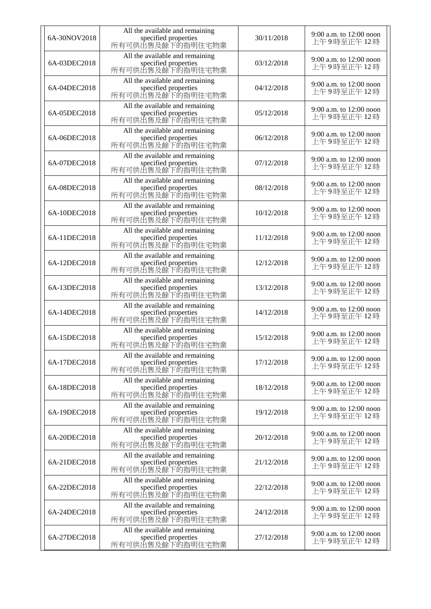| 6A-30NOV2018 | All the available and remaining<br>specified properties<br>所有可供出售及餘下的指明住宅物業 | 30/11/2018 | 9:00 a.m. to 12:00 noon<br>上午9時至正午12時   |
|--------------|-----------------------------------------------------------------------------|------------|-----------------------------------------|
| 6A-03DEC2018 | All the available and remaining<br>specified properties<br>所有可供出售及餘下的指明住宅物業 | 03/12/2018 | 9:00 a.m. to $12:00$ noon<br>上午9時至正午12時 |
| 6A-04DEC2018 | All the available and remaining<br>specified properties<br>所有可供出售及餘下的指明住宅物業 | 04/12/2018 | 9:00 a.m. to 12:00 noon<br>上午9時至正午12時   |
| 6A-05DEC2018 | All the available and remaining<br>specified properties<br>所有可供出售及餘下的指明住宅物業 | 05/12/2018 | 9:00 a.m. to 12:00 noon<br>上午9時至正午12時   |
| 6A-06DEC2018 | All the available and remaining<br>specified properties<br>所有可供出售及餘下的指明住宅物業 | 06/12/2018 | 9:00 a.m. to 12:00 noon<br>上午9時至正午12時   |
| 6A-07DEC2018 | All the available and remaining<br>specified properties<br>所有可供出售及餘下的指明住宅物業 | 07/12/2018 | 9:00 a.m. to 12:00 noon<br>上午9時至正午12時   |
| 6A-08DEC2018 | All the available and remaining<br>specified properties<br>所有可供出售及餘下的指明住宅物業 | 08/12/2018 | 9:00 a.m. to 12:00 noon<br>上午9時至正午12時   |
| 6A-10DEC2018 | All the available and remaining<br>specified properties<br>所有可供出售及餘下的指明住宅物業 | 10/12/2018 | 9:00 a.m. to $12:00$ noon<br>上午9時至正午12時 |
| 6A-11DEC2018 | All the available and remaining<br>specified properties<br>所有可供出售及餘下的指明住宅物業 | 11/12/2018 | 9:00 a.m. to 12:00 noon<br>上午9時至正午 12 時 |
| 6A-12DEC2018 | All the available and remaining<br>specified properties<br>所有可供出售及餘下的指明住宅物業 | 12/12/2018 | 9:00 a.m. to 12:00 noon<br>上午9時至正午 12 時 |
| 6A-13DEC2018 | All the available and remaining<br>specified properties<br>所有可供出售及餘下的指明住宅物業 | 13/12/2018 | 9:00 a.m. to 12:00 noon<br>上午9時至正午12時   |
| 6A-14DEC2018 | All the available and remaining<br>specified properties<br>所有可供出售及餘下的指明住宅物業 | 14/12/2018 | 9:00 a.m. to 12:00 noon<br>上午9時至正午12時   |
| 6A-15DEC2018 | All the available and remaining<br>specified properties<br>所有可供出售及餘下的指明住宅物業 | 15/12/2018 | 9:00 a.m. to 12:00 noon<br>上午9時至正午12時   |
| 6A-17DEC2018 | All the available and remaining<br>specified properties<br>所有可供出售及餘下的指明住宅物業 | 17/12/2018 | 9:00 a.m. to 12:00 noon<br>上午9時至正午12時   |
| 6A-18DEC2018 | All the available and remaining<br>specified properties<br>所有可供出售及餘下的指明住宅物業 | 18/12/2018 | 9:00 a.m. to 12:00 noon<br>上午9時至正午12時   |
| 6A-19DEC2018 | All the available and remaining<br>specified properties<br>所有可供出售及餘下的指明住宅物業 | 19/12/2018 | 9:00 a.m. to 12:00 noon<br>上午9時至正午12時   |
| 6A-20DEC2018 | All the available and remaining<br>specified properties<br>所有可供出售及餘下的指明住宅物業 | 20/12/2018 | 9:00 a.m. to 12:00 noon<br>上午9時至正午12時   |
| 6A-21DEC2018 | All the available and remaining<br>specified properties<br>所有可供出售及餘下的指明住宅物業 | 21/12/2018 | 9:00 a.m. to 12:00 noon<br>上午9時至正午12時   |
| 6A-22DEC2018 | All the available and remaining<br>specified properties<br>所有可供出售及餘下的指明住宅物業 | 22/12/2018 | 9:00 a.m. to 12:00 noon<br>上午9時至正午12時   |
| 6A-24DEC2018 | All the available and remaining<br>specified properties<br>所有可供出售及餘下的指明住宅物業 | 24/12/2018 | 9:00 a.m. to 12:00 noon<br>上午9時至正午12時   |
| 6A-27DEC2018 | All the available and remaining<br>specified properties<br>所有可供出售及餘下的指明住宅物業 | 27/12/2018 | 9:00 a.m. to 12:00 noon<br>上午9時至正午12時   |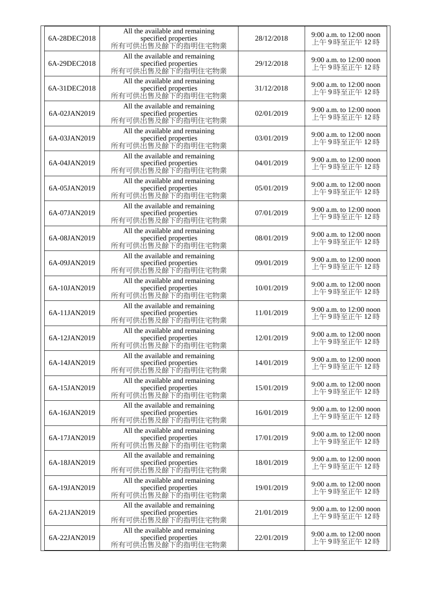| 6A-28DEC2018 | All the available and remaining<br>specified properties<br>所有可供出售及餘下的指明住宅物業 | 28/12/2018 | 9:00 a.m. to 12:00 noon<br>上午9時至正午12時 |
|--------------|-----------------------------------------------------------------------------|------------|---------------------------------------|
| 6A-29DEC2018 | All the available and remaining<br>specified properties<br>所有可供出售及餘下的指明住宅物業 | 29/12/2018 | 9:00 a.m. to 12:00 noon<br>上午9時至正午12時 |
| 6A-31DEC2018 | All the available and remaining<br>specified properties<br>所有可供出售及餘下的指明住宅物業 | 31/12/2018 | 9:00 a.m. to 12:00 noon<br>上午9時至正午12時 |
| 6A-02JAN2019 | All the available and remaining<br>specified properties<br>所有可供出售及餘下的指明住宅物業 | 02/01/2019 | 9:00 a.m. to 12:00 noon<br>上午9時至正午12時 |
| 6A-03JAN2019 | All the available and remaining<br>specified properties<br>所有可供出售及餘下的指明住宅物業 | 03/01/2019 | 9:00 a.m. to 12:00 noon<br>上午9時至正午12時 |
| 6A-04JAN2019 | All the available and remaining<br>specified properties<br>所有可供出售及餘下的指明住宅物業 | 04/01/2019 | 9:00 a.m. to 12:00 noon<br>上午9時至正午12時 |
| 6A-05JAN2019 | All the available and remaining<br>specified properties<br>所有可供出售及餘下的指明住宅物業 | 05/01/2019 | 9:00 a.m. to 12:00 noon<br>上午9時至正午12時 |
| 6A-07JAN2019 | All the available and remaining<br>specified properties<br>所有可供出售及餘下的指明住宅物業 | 07/01/2019 | 9:00 a.m. to 12:00 noon<br>上午9時至正午12時 |
| 6A-08JAN2019 | All the available and remaining<br>specified properties<br>所有可供出售及餘下的指明住宅物業 | 08/01/2019 | 9:00 a.m. to 12:00 noon<br>上午9時至正午12時 |
| 6A-09JAN2019 | All the available and remaining<br>specified properties<br>所有可供出售及餘下的指明住宅物業 | 09/01/2019 | 9:00 a.m. to 12:00 noon<br>上午9時至正午12時 |
| 6A-10JAN2019 | All the available and remaining<br>specified properties<br>所有可供出售及餘下的指明住宅物業 | 10/01/2019 | 9:00 a.m. to 12:00 noon<br>上午9時至正午12時 |
| 6A-11JAN2019 | All the available and remaining<br>specified properties<br>所有可供出售及餘下的指明住宅物業 | 11/01/2019 | 9:00 a.m. to 12:00 noon<br>上午9時至正午12時 |
| 6A-12JAN2019 | All the available and remaining<br>specified properties<br>所有可供出售及餘下的指明住宅物業 | 12/01/2019 | 9:00 a.m. to 12:00 noon<br>上午9時至正午12時 |
| 6A-14JAN2019 | All the available and remaining<br>specified properties<br>所有可供出售及餘下的指明住宅物業 | 14/01/2019 | 9:00 a.m. to 12:00 noon<br>上午9時至正午12時 |
| 6A-15JAN2019 | All the available and remaining<br>specified properties<br>所有可供出售及餘下的指明住宅物業 | 15/01/2019 | 9:00 a.m. to 12:00 noon<br>上午9時至正午12時 |
| 6A-16JAN2019 | All the available and remaining<br>specified properties<br>所有可供出售及餘下的指明住宅物業 | 16/01/2019 | 9:00 a.m. to 12:00 noon<br>上午9時至正午12時 |
| 6A-17JAN2019 | All the available and remaining<br>specified properties<br>所有可供出售及餘下的指明住宅物業 | 17/01/2019 | 9:00 a.m. to 12:00 noon<br>上午9時至正午12時 |
| 6A-18JAN2019 | All the available and remaining<br>specified properties<br>所有可供出售及餘下的指明住宅物業 | 18/01/2019 | 9:00 a.m. to 12:00 noon<br>上午9時至正午12時 |
| 6A-19JAN2019 | All the available and remaining<br>specified properties<br>所有可供出售及餘下的指明住宅物業 | 19/01/2019 | 9:00 a.m. to 12:00 noon<br>上午9時至正午12時 |
| 6A-21JAN2019 | All the available and remaining<br>specified properties<br>所有可供出售及餘下的指明住宅物業 | 21/01/2019 | 9:00 a.m. to 12:00 noon<br>上午9時至正午12時 |
| 6A-22JAN2019 | All the available and remaining<br>specified properties<br>所有可供出售及餘下的指明住宅物業 | 22/01/2019 | 9:00 a.m. to 12:00 noon<br>上午9時至正午12時 |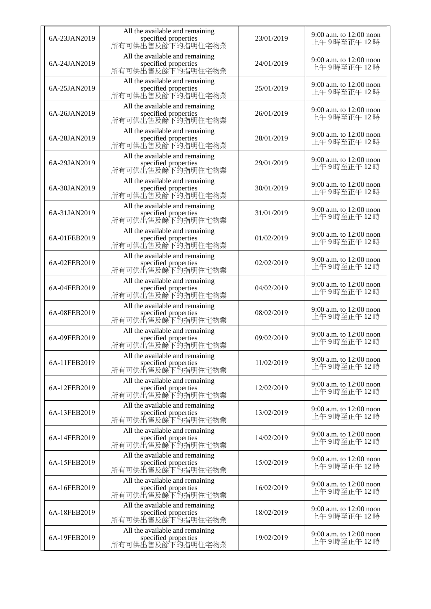| 6A-23JAN2019 | All the available and remaining<br>specified properties<br>所有可供出售及餘下的指明住宅物業 | 23/01/2019 | 9:00 a.m. to 12:00 noon<br>上午9時至正午12時 |
|--------------|-----------------------------------------------------------------------------|------------|---------------------------------------|
| 6A-24JAN2019 | All the available and remaining<br>specified properties<br>所有可供出售及餘下的指明住宅物業 | 24/01/2019 | 9:00 a.m. to 12:00 noon<br>上午9時至正午12時 |
| 6A-25JAN2019 | All the available and remaining<br>specified properties<br>所有可供出售及餘下的指明住宅物業 | 25/01/2019 | 9:00 a.m. to 12:00 noon<br>上午9時至正午12時 |
| 6A-26JAN2019 | All the available and remaining<br>specified properties<br>所有可供出售及餘下的指明住宅物業 | 26/01/2019 | 9:00 a.m. to 12:00 noon<br>上午9時至正午12時 |
| 6A-28JAN2019 | All the available and remaining<br>specified properties<br>所有可供出售及餘下的指明住宅物業 | 28/01/2019 | 9:00 a.m. to 12:00 noon<br>上午9時至正午12時 |
| 6A-29JAN2019 | All the available and remaining<br>specified properties<br>所有可供出售及餘下的指明住宅物業 | 29/01/2019 | 9:00 a.m. to 12:00 noon<br>上午9時至正午12時 |
| 6A-30JAN2019 | All the available and remaining<br>specified properties<br>所有可供出售及餘下的指明住宅物業 | 30/01/2019 | 9:00 a.m. to 12:00 noon<br>上午9時至正午12時 |
| 6A-31JAN2019 | All the available and remaining<br>specified properties<br>所有可供出售及餘下的指明住宅物業 | 31/01/2019 | 9:00 a.m. to 12:00 noon<br>上午9時至正午12時 |
| 6A-01FEB2019 | All the available and remaining<br>specified properties<br>所有可供出售及餘下的指明住宅物業 | 01/02/2019 | 9:00 a.m. to 12:00 noon<br>上午9時至正午12時 |
| 6A-02FEB2019 | All the available and remaining<br>specified properties<br>所有可供出售及餘下的指明住宅物業 | 02/02/2019 | 9:00 a.m. to 12:00 noon<br>上午9時至正午12時 |
| 6A-04FEB2019 | All the available and remaining<br>specified properties<br>所有可供出售及餘下的指明住宅物業 | 04/02/2019 | 9:00 a.m. to 12:00 noon<br>上午9時至正午12時 |
| 6A-08FEB2019 | All the available and remaining<br>specified properties<br>所有可供出售及餘下的指明住宅物業 | 08/02/2019 | 9:00 a.m. to 12:00 noon<br>上午9時至正午12時 |
| 6A-09FEB2019 | All the available and remaining<br>specified properties<br>所有可供出售及餘下的指明住宅物業 | 09/02/2019 | 9:00 a.m. to 12:00 noon<br>上午9時至正午12時 |
| 6A-11FEB2019 | All the available and remaining<br>specified properties<br>所有可供出售及餘下的指明住宅物業 | 11/02/2019 | 9:00 a.m. to 12:00 noon<br>上午9時至正午12時 |
| 6A-12FEB2019 | All the available and remaining<br>specified properties<br>所有可供出售及餘下的指明住宅物業 | 12/02/2019 | 9:00 a.m. to 12:00 noon<br>上午9時至正午12時 |
| 6A-13FEB2019 | All the available and remaining<br>specified properties<br>所有可供出售及餘下的指明住宅物業 | 13/02/2019 | 9:00 a.m. to 12:00 noon<br>上午9時至正午12時 |
| 6A-14FEB2019 | All the available and remaining<br>specified properties<br>所有可供出售及餘下的指明住宅物業 | 14/02/2019 | 9:00 a.m. to 12:00 noon<br>上午9時至正午12時 |
| 6A-15FEB2019 | All the available and remaining<br>specified properties<br>所有可供出售及餘下的指明住宅物業 | 15/02/2019 | 9:00 a.m. to 12:00 noon<br>上午9時至正午12時 |
| 6A-16FEB2019 | All the available and remaining<br>specified properties<br>所有可供出售及餘下的指明住宅物業 | 16/02/2019 | 9:00 a.m. to 12:00 noon<br>上午9時至正午12時 |
| 6A-18FEB2019 | All the available and remaining<br>specified properties<br>所有可供出售及餘下的指明住宅物業 | 18/02/2019 | 9:00 a.m. to 12:00 noon<br>上午9時至正午12時 |
| 6A-19FEB2019 | All the available and remaining<br>specified properties<br>所有可供出售及餘下的指明住宅物業 | 19/02/2019 | 9:00 a.m. to 12:00 noon<br>上午9時至正午12時 |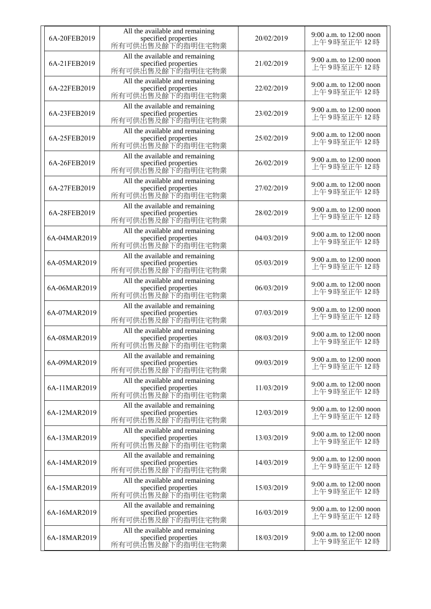| 6A-20FEB2019 | All the available and remaining<br>specified properties<br>所有可供出售及餘下的指明住宅物業 | 20/02/2019 | 9:00 a.m. to 12:00 noon<br>上午9時至正午12時   |
|--------------|-----------------------------------------------------------------------------|------------|-----------------------------------------|
| 6A-21FEB2019 | All the available and remaining<br>specified properties<br>所有可供出售及餘下的指明住宅物業 | 21/02/2019 | 9:00 a.m. to 12:00 noon<br>上午9時至正午12時   |
| 6A-22FEB2019 | All the available and remaining<br>specified properties<br>所有可供出售及餘下的指明住宅物業 | 22/02/2019 | 9:00 a.m. to 12:00 noon<br>上午9時至正午12時   |
| 6A-23FEB2019 | All the available and remaining<br>specified properties<br>所有可供出售及餘下的指明住宅物業 | 23/02/2019 | 9:00 a.m. to 12:00 noon<br>上午9時至正午12時   |
| 6A-25FEB2019 | All the available and remaining<br>specified properties<br>所有可供出售及餘下的指明住宅物業 | 25/02/2019 | 9:00 a.m. to 12:00 noon<br>上午9時至正午12時   |
| 6A-26FEB2019 | All the available and remaining<br>specified properties<br>所有可供出售及餘下的指明住宅物業 | 26/02/2019 | 9:00 a.m. to 12:00 noon<br>上午9時至正午12時   |
| 6A-27FEB2019 | All the available and remaining<br>specified properties<br>所有可供出售及餘下的指明住宅物業 | 27/02/2019 | 9:00 a.m. to 12:00 noon<br>上午9時至正午12時   |
| 6A-28FEB2019 | All the available and remaining<br>specified properties<br>所有可供出售及餘下的指明住宅物業 | 28/02/2019 | 9:00 a.m. to 12:00 noon<br>上午9時至正午12時   |
| 6A-04MAR2019 | All the available and remaining<br>specified properties<br>所有可供出售及餘下的指明住宅物業 | 04/03/2019 | 9:00 a.m. to 12:00 noon<br>上午9時至正午12時   |
| 6A-05MAR2019 | All the available and remaining<br>specified properties<br>所有可供出售及餘下的指明住宅物業 | 05/03/2019 | 9:00 a.m. to 12:00 noon<br>上午9時至正午12時   |
| 6A-06MAR2019 | All the available and remaining<br>specified properties<br>所有可供出售及餘下的指明住宅物業 | 06/03/2019 | 9:00 a.m. to 12:00 noon<br>上午9時至正午12時   |
| 6A-07MAR2019 | All the available and remaining<br>specified properties<br>所有可供出售及餘下的指明住宅物業 | 07/03/2019 | 9:00 a.m. to 12:00 noon<br>上午9時至正午12時   |
| 6A-08MAR2019 | All the available and remaining<br>specified properties<br>所有可供出售及餘下的指明住宅物業 | 08/03/2019 | 9:00 a.m. to 12:00 noon<br>上午9時至正午12時   |
| 6A-09MAR2019 | All the available and remaining<br>specified properties<br>所有可供出售及餘下的指明住宅物業 | 09/03/2019 | 9:00 a.m. to 12:00 noon<br>上午9時至正午12時   |
| 6A-11MAR2019 | All the available and remaining<br>specified properties<br>所有可供出售及餘下的指明住宅物業 | 11/03/2019 | 9:00 a.m. to 12:00 noon<br>上午9時至正午12時   |
| 6A-12MAR2019 | All the available and remaining<br>specified properties<br>所有可供出售及餘下的指明住宅物業 | 12/03/2019 | 9:00 a.m. to 12:00 noon<br>上午9時至正午12時   |
| 6A-13MAR2019 | All the available and remaining<br>specified properties<br>所有可供出售及餘下的指明住宅物業 | 13/03/2019 | 9:00 a.m. to 12:00 noon<br>上午9時至正午12時   |
| 6A-14MAR2019 | All the available and remaining<br>specified properties<br>所有可供出售及餘下的指明住宅物業 | 14/03/2019 | 9:00 a.m. to 12:00 noon<br>上午9時至正午12時   |
| 6A-15MAR2019 | All the available and remaining<br>specified properties<br>所有可供出售及餘下的指明住宅物業 | 15/03/2019 | 9:00 a.m. to 12:00 noon<br>上午9時至正午12時   |
| 6A-16MAR2019 | All the available and remaining<br>specified properties<br>所有可供出售及餘下的指明住宅物業 | 16/03/2019 | 9:00 a.m. to $12:00$ noon<br>上午9時至正午12時 |
| 6A-18MAR2019 | All the available and remaining<br>specified properties<br>所有可供出售及餘下的指明住宅物業 | 18/03/2019 | 9:00 a.m. to 12:00 noon<br>上午9時至正午12時   |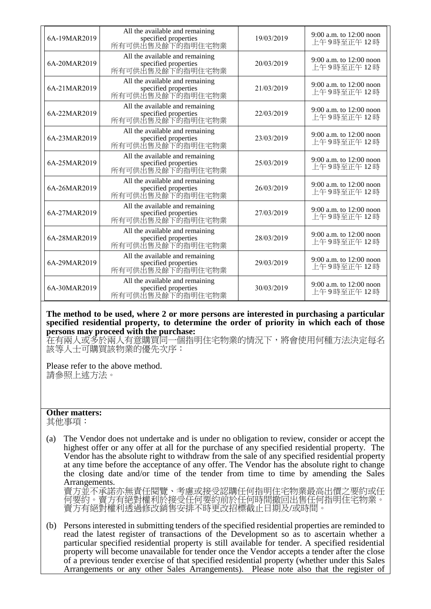| 6A-19MAR2019 | All the available and remaining<br>specified properties<br>所有可供出售及餘下的指明住宅物業 | 19/03/2019 | 9:00 a.m. to $12:00$ noon<br>上午9時至正午12時 |
|--------------|-----------------------------------------------------------------------------|------------|-----------------------------------------|
| 6A-20MAR2019 | All the available and remaining<br>specified properties<br>所有可供出售及餘下的指明住宅物業 | 20/03/2019 | 9:00 a.m. to $12:00$ noon<br>上午9時至正午12時 |
| 6A-21MAR2019 | All the available and remaining<br>specified properties<br>所有可供出售及餘下的指明住宅物業 | 21/03/2019 | 9:00 a.m. to $12:00$ noon<br>上午9時至正午12時 |
| 6A-22MAR2019 | All the available and remaining<br>specified properties<br>所有可供出售及餘下的指明住宅物業 | 22/03/2019 | 9:00 a.m. to 12:00 noon<br>上午9時至正午12時   |
| 6A-23MAR2019 | All the available and remaining<br>specified properties<br>所有可供出售及餘下的指明住宅物業 | 23/03/2019 | 9:00 a.m. to $12:00$ noon<br>上午9時至正午12時 |
| 6A-25MAR2019 | All the available and remaining<br>specified properties<br>所有可供出售及餘下的指明住宅物業 | 25/03/2019 | 9:00 a.m. to $12:00$ noon<br>上午9時至正午12時 |
| 6A-26MAR2019 | All the available and remaining<br>specified properties<br>所有可供出售及餘下的指明住宅物業 | 26/03/2019 | 9:00 a.m. to 12:00 noon<br>上午9時至正午12時   |
| 6A-27MAR2019 | All the available and remaining<br>specified properties<br>所有可供出售及餘下的指明住宅物業 | 27/03/2019 | 9:00 a.m. to $12:00$ noon<br>上午9時至正午12時 |
| 6A-28MAR2019 | All the available and remaining<br>specified properties<br>所有可供出售及餘下的指明住宅物業 | 28/03/2019 | 9:00 a.m. to 12:00 noon<br>上午9時至正午12時   |
| 6A-29MAR2019 | All the available and remaining<br>specified properties<br>所有可供出售及餘下的指明住宅物業 | 29/03/2019 | 9:00 a.m. to 12:00 noon<br>上午9時至正午12時   |
| 6A-30MAR2019 | All the available and remaining<br>specified properties<br>所有可供出售及餘下的指明住宅物業 | 30/03/2019 | 9:00 a.m. to 12:00 noon<br>上午9時至正午12時   |

**The method to be used, where 2 or more persons are interested in purchasing a particular specified residential property, to determine the order of priority in which each of those persons may proceed with the purchase:**

在有兩人或多於兩人有意購買同一個指明住宅物業的情況下,將會使用何種方法決定每名 該等人士可購買該物業的優先次序:

Please refer to the above method. 請參照上述方法。

## **Other matters:**

其他事項:

(a) The Vendor does not undertake and is under no obligation to review, consider or accept the highest offer or any offer at all for the purchase of any specified residential property. The Vendor has the absolute right to withdraw from the sale of any specified residential property at any time before the acceptance of any offer. The Vendor has the absolute right to change the closing date and/or time of the tender from time to time by amending the Sales Arrangements.

賣方並不承諾亦無責任閱覽、考慮或接受認購任何指明住宅物業最高出價之要約或任 何要約。賣方有絕對權利於接受任何要約前於任何時間撤回出售任何指明住宅物業。 賣方有絕對權利透過修改銷售安排不時更改招標截止日期及/或時間。

(b) Persons interested in submitting tenders of the specified residential properties are reminded to read the latest register of transactions of the Development so as to ascertain whether a particular specified residential property is still available for tender. A specified residential property will become unavailable for tender once the Vendor accepts a tender after the close of a previous tender exercise of that specified residential property (whether under this Sales Arrangements or any other Sales Arrangements). Please note also that the register of